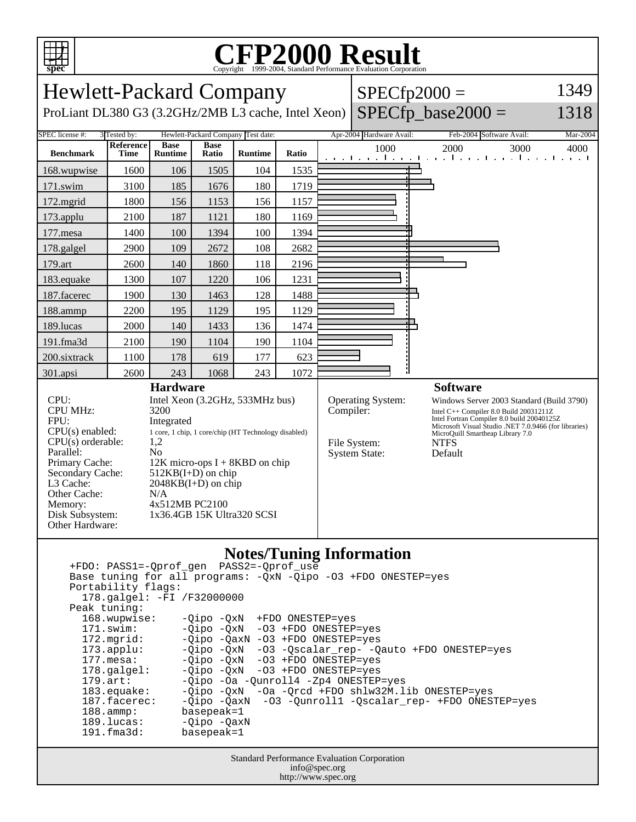

Peak tuning:

 168.wupwise: -Qipo -QxN +FDO ONESTEP=yes 171.swim: -Qipo -QxN -O3 +FDO ONESTEP=yes 172.mgrid: -Qipo -QaxN -O3 +FDO ONESTEP=yes<br>173.applu: -Qipo -QxN -O3 -Qscalar\_rep- -Q

basepeak=1

188.ammp: basepeak=1<br>189.lucas: -Qipo -Qax 189.lucas: - Qipo - QaxN<br>191.fma3d: basepeak=1

177.mesa: - Qipo - QxN - O3 + FDO ONESTEP=yes 178.galgel: -Qipo -QxN -O3 +FDO ONESTEP=yes 179.art: -Qipo -Oa -Qunroll4 -Zp4 ONESTEP=yes<br>183.equake: -Qipo -QxN -Oa -Qrcd +FDO shlw32M.l

## Copyright ©1999-2004, Standard Performance Evaluation Corporation

| $P_{\rm P}$<br>Copyright @1999-2004, Dianuaru I criormance Evanuation Corporation                                                                                                                                                                                                                                                                                                                                                                                                                                     |                   |                               |                             |                |           |                                                    |                          |                                                                                                                                                                                                                                                                             |                                                                             |          |
|-----------------------------------------------------------------------------------------------------------------------------------------------------------------------------------------------------------------------------------------------------------------------------------------------------------------------------------------------------------------------------------------------------------------------------------------------------------------------------------------------------------------------|-------------------|-------------------------------|-----------------------------|----------------|-----------|----------------------------------------------------|--------------------------|-----------------------------------------------------------------------------------------------------------------------------------------------------------------------------------------------------------------------------------------------------------------------------|-----------------------------------------------------------------------------|----------|
| 1349<br><b>Hewlett-Packard Company</b><br>$SPECfp2000 =$                                                                                                                                                                                                                                                                                                                                                                                                                                                              |                   |                               |                             |                |           |                                                    |                          |                                                                                                                                                                                                                                                                             |                                                                             |          |
| ProLiant DL380 G3 (3.2GHz/2MB L3 cache, Intel Xeon)                                                                                                                                                                                                                                                                                                                                                                                                                                                                   |                   |                               |                             |                |           |                                                    |                          |                                                                                                                                                                                                                                                                             | $SPECfp\_base2000 =$                                                        | 1318     |
| <b>SPEC</b> license #:<br>3 Tested by:<br>Hewlett-Packard Company Test date:                                                                                                                                                                                                                                                                                                                                                                                                                                          |                   |                               |                             |                |           |                                                    | Apr-2004 Hardware Avail: |                                                                                                                                                                                                                                                                             | Feb-2004 Software Avail:                                                    | Mar-2004 |
| <b>Benchmark</b>                                                                                                                                                                                                                                                                                                                                                                                                                                                                                                      | Reference<br>Time | <b>Base</b><br><b>Runtime</b> | <b>Base</b><br><b>Ratio</b> | <b>Runtime</b> | Ratio     |                                                    | 1000                     |                                                                                                                                                                                                                                                                             | 2000<br>3000<br>and the and the anti-transition of the and the anti-transit | 4000     |
| 168.wupwise                                                                                                                                                                                                                                                                                                                                                                                                                                                                                                           | 1600              | 106                           | 1505                        | 104            | 1535      |                                                    |                          |                                                                                                                                                                                                                                                                             |                                                                             |          |
| 171.swim                                                                                                                                                                                                                                                                                                                                                                                                                                                                                                              | 3100              | 185                           | 1676                        | 180            | 1719      |                                                    |                          |                                                                                                                                                                                                                                                                             |                                                                             |          |
| 172.mgrid                                                                                                                                                                                                                                                                                                                                                                                                                                                                                                             | 1800              | 156                           | 1153                        | 156            | 1157      |                                                    |                          |                                                                                                                                                                                                                                                                             |                                                                             |          |
| 173.applu                                                                                                                                                                                                                                                                                                                                                                                                                                                                                                             | 2100              | 187                           | 1121                        | 180            | 1169      |                                                    |                          |                                                                                                                                                                                                                                                                             |                                                                             |          |
| 177.mesa                                                                                                                                                                                                                                                                                                                                                                                                                                                                                                              | 1400              | 100                           | 1394                        | 100            | 1394      |                                                    |                          |                                                                                                                                                                                                                                                                             |                                                                             |          |
| 178.galgel                                                                                                                                                                                                                                                                                                                                                                                                                                                                                                            | 2900              | 109                           | 2672                        | 108            | 2682      |                                                    |                          |                                                                                                                                                                                                                                                                             |                                                                             |          |
| 179.art                                                                                                                                                                                                                                                                                                                                                                                                                                                                                                               | 2600              | 140                           | 1860                        | 118            | 2196      |                                                    |                          |                                                                                                                                                                                                                                                                             |                                                                             |          |
| 183.equake                                                                                                                                                                                                                                                                                                                                                                                                                                                                                                            | 1300              | 107                           | 1220                        | 106            | 1231      |                                                    |                          |                                                                                                                                                                                                                                                                             |                                                                             |          |
| 187.facerec                                                                                                                                                                                                                                                                                                                                                                                                                                                                                                           | 1900              | 130                           | 1463                        | 128            | 1488      |                                                    |                          |                                                                                                                                                                                                                                                                             |                                                                             |          |
| 188.ammp                                                                                                                                                                                                                                                                                                                                                                                                                                                                                                              | 2200              | 195                           | 1129                        | 195            | 1129      |                                                    |                          |                                                                                                                                                                                                                                                                             |                                                                             |          |
| 189.lucas                                                                                                                                                                                                                                                                                                                                                                                                                                                                                                             | 2000              | 140                           | 1433                        | 136            | 1474      |                                                    |                          |                                                                                                                                                                                                                                                                             |                                                                             |          |
| 191.fma3d                                                                                                                                                                                                                                                                                                                                                                                                                                                                                                             | 2100              | 190                           | 1104                        | 190            | 1104      |                                                    |                          |                                                                                                                                                                                                                                                                             |                                                                             |          |
| 200.sixtrack                                                                                                                                                                                                                                                                                                                                                                                                                                                                                                          | 1100              | 178                           | 619                         | 177            | 623       |                                                    |                          |                                                                                                                                                                                                                                                                             |                                                                             |          |
| 301.apsi                                                                                                                                                                                                                                                                                                                                                                                                                                                                                                              | 2600              | 243                           | 1068                        | 243            | 1072      |                                                    |                          |                                                                                                                                                                                                                                                                             |                                                                             |          |
| <b>Hardware</b><br>CPU:<br>Intel Xeon (3.2GHz, 533MHz bus)<br><b>CPU MHz:</b><br>3200<br>FPU:<br>Integrated<br>$CPU(s)$ enabled:<br>1 core, 1 chip, 1 core/chip (HT Technology disabled)<br>$CPU(s)$ orderable:<br>1,2<br>Parallel:<br>N <sub>0</sub><br>Primary Cache:<br>$12K$ micro-ops I + 8KBD on chip<br>$512KB(I+D)$ on chip<br>Secondary Cache:<br>L3 Cache:<br>$2048KB(I+D)$ on chip<br>Other Cache:<br>N/A<br>4x512MB PC2100<br>Memory:<br>Disk Subsystem:<br>1x36.4GB 15K Ultra320 SCSI<br>Other Hardware: |                   |                               |                             |                | Compiler: | Operating System:<br>File System:<br>System State: |                          | <b>Software</b><br>Windows Server 2003 Standard (Build 3790)<br>Intel C++ Compiler 8.0 Build 20031211Z<br>Intel Fortran Compiler 8.0 build 20040125Z<br>Microsoft Visual Studio .NET 7.0.9466 (for libraries)<br>MicroQuill Smartheap Library 7.0<br><b>NTFS</b><br>Default |                                                                             |          |
| <b>Notes/Tuning Information</b><br>PASS2=-Oprof use<br>+FDO: PASS1=-Qprof_gen<br>Base tuning for all programs: - QxN - Qipo - 03 + FDO ONESTEP=yes<br>Portability flags:<br>178.galgel: -FI /F32000000                                                                                                                                                                                                                                                                                                                |                   |                               |                             |                |           |                                                    |                          |                                                                                                                                                                                                                                                                             |                                                                             |          |

Standard Performance Evaluation Corporation info@spec.org http://www.spec.org

183.equake: -Qipo -QxN -Oa -Qrcd +FDO shlw32M.lib ONESTEP=yes

187.facerec: -Qipo -QaxN -O3 -Qunroll1 -Qscalar\_rep- +FDO ONESTEP=yes

-Qipo -QxN -O3 -Qscalar\_rep- -Qauto +FDO ONESTEP=yes